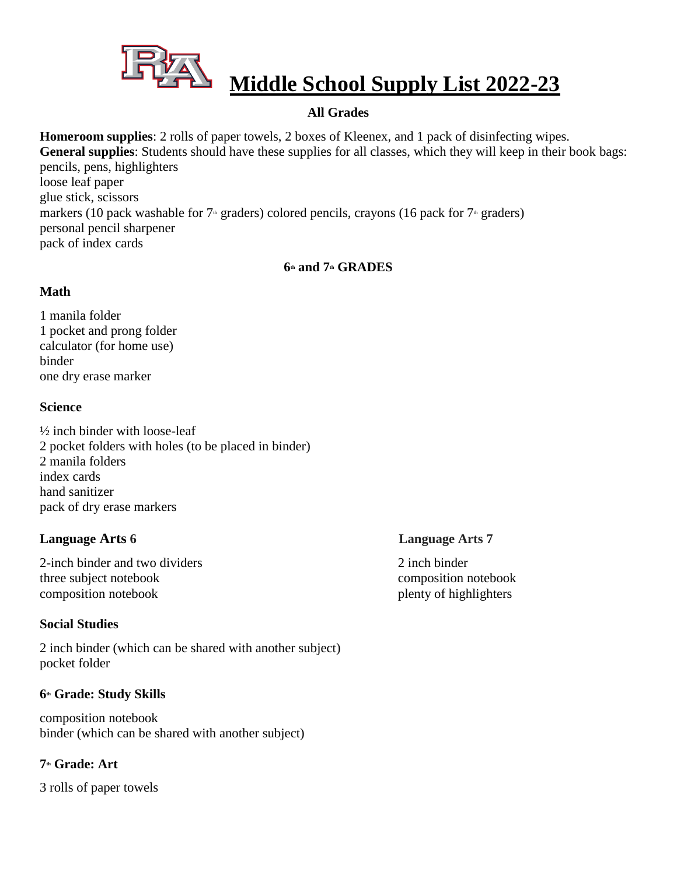

# **Middle School Supply List 2022-23**

# **All Grades**

**Homeroom supplies**: 2 rolls of paper towels, 2 boxes of Kleenex, and 1 pack of disinfecting wipes. **General supplies**: Students should have these supplies for all classes, which they will keep in their book bags: pencils, pens, highlighters loose leaf paper glue stick, scissors markers (10 pack washable for  $7<sup>th</sup>$  graders) colored pencils, crayons (16 pack for  $7<sup>th</sup>$  graders) personal pencil sharpener pack of index cards

# **6th and 7th GRADES**

### **Math**

1 manila folder 1 pocket and prong folder calculator (for home use) binder one dry erase marker

### **Science**

½ inch binder with loose-leaf 2 pocket folders with holes (to be placed in binder) 2 manila folders index cards hand sanitizer pack of dry erase markers

# **Language Arts 6 Language Arts 7**

2-inch binder and two dividers 2 inch binder three subject notebook composition notebook composition notebook plenty of highlighters

# **Social Studies**

2 inch binder (which can be shared with another subject) pocket folder

# **6th Grade: Study Skills**

composition notebook binder (which can be shared with another subject)

# **7th Grade: Art**

3 rolls of paper towels